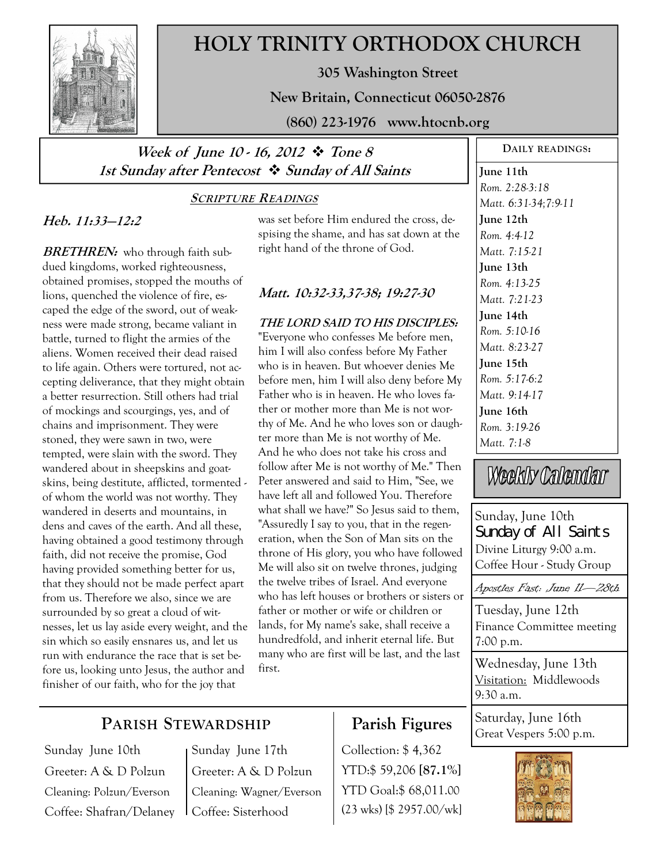

# **HOLY TRINITY ORTHODOX CHURCH**

**305 Washington Street** 

**New Britain, Connecticut 06050-2876** 

**(860) 223-1976 www.htocnb.org** 

## Week of June 10 - 16, 2012  $\div$  Tone 8 **1st Sunday after Pentecost Sunday of All Saints**

### **SCRIPTURE READINGS**

### **Heb. 11:33—12:2**

**BRETHREN:** who through faith subdued kingdoms, worked righteousness, obtained promises, stopped the mouths of lions, quenched the violence of fire, escaped the edge of the sword, out of weakness were made strong, became valiant in battle, turned to flight the armies of the aliens. Women received their dead raised to life again. Others were tortured, not accepting deliverance, that they might obtain a better resurrection. Still others had trial of mockings and scourgings, yes, and of chains and imprisonment. They were stoned, they were sawn in two, were tempted, were slain with the sword. They wandered about in sheepskins and goatskins, being destitute, afflicted, tormented of whom the world was not worthy. They wandered in deserts and mountains, in dens and caves of the earth. And all these, having obtained a good testimony through faith, did not receive the promise, God having provided something better for us, that they should not be made perfect apart from us. Therefore we also, since we are surrounded by so great a cloud of witnesses, let us lay aside every weight, and the sin which so easily ensnares us, and let us run with endurance the race that is set before us, looking unto Jesus, the author and finisher of our faith, who for the joy that

was set before Him endured the cross, despising the shame, and has sat down at the right hand of the throne of God.

### **Matt. 10:32-33,37-38; 19:27-30**

### **THE LORD SAID TO HIS DISCIPLES:**  "Everyone who confesses Me before men, him I will also confess before My Father who is in heaven. But whoever denies Me before men, him I will also deny before My Father who is in heaven. He who loves father or mother more than Me is not worthy of Me. And he who loves son or daughter more than Me is not worthy of Me. And he who does not take his cross and follow after Me is not worthy of Me." Then Peter answered and said to Him, "See, we have left all and followed You. Therefore what shall we have?" So Jesus said to them, "Assuredly I say to you, that in the regeneration, when the Son of Man sits on the throne of His glory, you who have followed Me will also sit on twelve thrones, judging the twelve tribes of Israel. And everyone who has left houses or brothers or sisters or father or mother or wife or children or lands, for My name's sake, shall receive a hundredfold, and inherit eternal life. But many who are first will be last, and the last first.

**June 11th**  *Rom. 2:28-3:18 Matt. 6:31-34;7:9-11*  **June 12th**  *Rom. 4:4-12 Matt. 7:15-21*  **June 13th**  *Rom. 4:13-25 Matt. 7:21-23*  **June 14th**  *Rom. 5:10-16 Matt. 8:23-27*  **June 15th**  *Rom. 5:17-6:2 Matt. 9:14-17*  **June 16th**  *Rom. 3:19-26 Matt. 7:1-8* 

**DAILY READINGS:** 

Weekly Calendar

Sunday, June 10th Sunday of All Saints Divine Liturgy 9:00 a.m. Coffee Hour - Study Group

Apostles Fast: June 11—28th

Tuesday, June 12th Finance Committee meeting 7:00 p.m.

Wednesday, June 13th Visitation: Middlewoods  $9.30 a m$ 

Saturday, June 16th Great Vespers 5:00 p.m.



# **PARISH STEWARDSHIP**

Sunday June 10th Greeter: A & D Polzun Cleaning: Polzun/Everson Coffee: Shafran/Delaney

Sunday June 17th Greeter: A & D Polzun Cleaning: Wagner/Everson Coffee: Sisterhood

# **Parish Figures**

Collection: \$ 4,362 YTD:\$ 59,206 **[87.1%]** YTD Goal:\$ 68,011.00 (23 wks) [\$ 2957.00/wk]